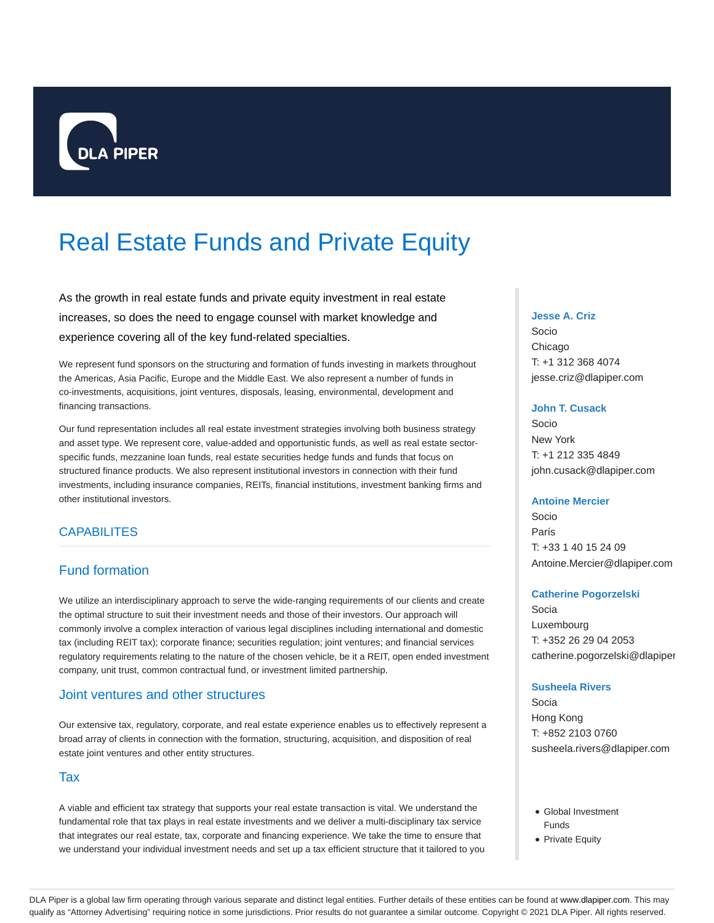

# Real Estate Funds and Private Equity

As the growth in real estate funds and private equity investment in real estate increases, so does the need to engage counsel with market knowledge and experience covering all of the key fund-related specialties.

We represent fund sponsors on the structuring and formation of funds investing in markets throughout the Americas, Asia Pacific, Europe and the Middle East. We also represent a number of funds in co-investments, acquisitions, joint ventures, disposals, leasing, environmental, development and financing transactions.

Our fund representation includes all real estate investment strategies involving both business strategy and asset type. We represent core, value-added and opportunistic funds, as well as real estate sectorspecific funds, mezzanine loan funds, real estate securities hedge funds and funds that focus on structured finance products. We also represent institutional investors in connection with their fund investments, including insurance companies, REITs, financial institutions, investment banking firms and other institutional investors.

## **CAPABILITES**

# Fund formation

We utilize an interdisciplinary approach to serve the wide-ranging requirements of our clients and create the optimal structure to suit their investment needs and those of their investors. Our approach will commonly involve a complex interaction of various legal disciplines including international and domestic tax (including REIT tax); corporate finance; securities regulation; joint ventures; and financial services regulatory requirements relating to the nature of the chosen vehicle, be it a REIT, open ended investment company, unit trust, common contractual fund, or investment limited partnership.

## Joint ventures and other structures

Our extensive tax, regulatory, corporate, and real estate experience enables us to effectively represent a broad array of clients in connection with the formation, structuring, acquisition, and disposition of real estate joint ventures and other entity structures.

### Tax

A viable and efficient tax strategy that supports your real estate transaction is vital. We understand the fundamental role that tax plays in real estate investments and we deliver a multi-disciplinary tax service that integrates our real estate, tax, corporate and financing experience. We take the time to ensure that we understand your individual investment needs and set up a tax efficient structure that it tailored to you

#### **Jesse A. Criz**

Socio Chicago T: +1 312 368 4074 jesse.criz@dlapiper.com

#### **John T. Cusack**

Socio New York T: +1 212 335 4849 john.cusack@dlapiper.com

#### **Antoine Mercier**

Socio París T: +33 1 40 15 24 09 Antoine.Mercier@dlapiper.com

#### **Catherine Pogorzelski**

Socia Luxembourg T: +352 26 29 04 2053 catherine.pogorzelski@dlapiper

#### **Susheela Rivers**

Socia Hong Kong T: +852 2103 0760 susheela.rivers@dlapiper.com

- Global Investment Funds
- Private Equity

DLA Piper is a global law firm operating through various separate and distinct legal entities. Further details of these entities can be found at www.dlapiper.com. This may qualify as "Attorney Advertising" requiring notice in some jurisdictions. Prior results do not guarantee a similar outcome. Copyright @ 2021 DLA Piper. All rights reserved.